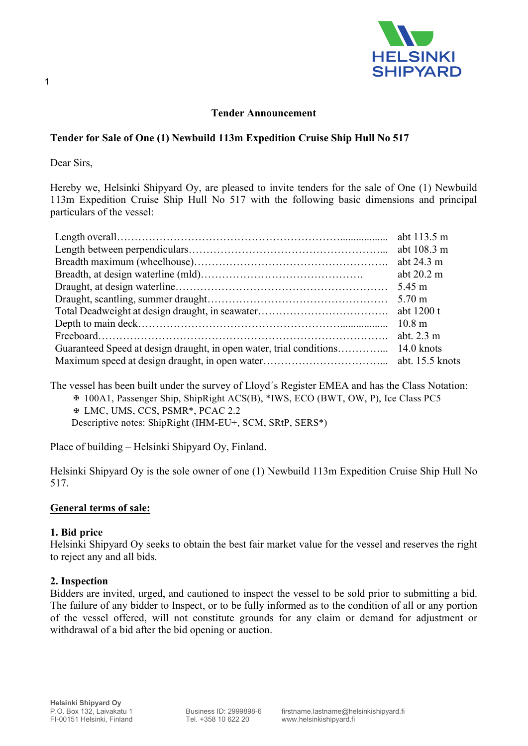

## Tender Announcement

## Tender for Sale of One (1) Newbuild 113m Expedition Cruise Ship Hull No 517

Dear Sirs,

1

Hereby we, Helsinki Shipyard Oy, are pleased to invite tenders for the sale of One (1) Newbuild 113m Expedition Cruise Ship Hull No 517 with the following basic dimensions and principal particulars of the vessel:

|                                                                     | abt 113.5 m          |
|---------------------------------------------------------------------|----------------------|
|                                                                     | abt 108.3 m          |
|                                                                     |                      |
|                                                                     | abt $20.2 \text{ m}$ |
|                                                                     | $5.45 \text{ m}$     |
|                                                                     |                      |
|                                                                     |                      |
|                                                                     | $10.8 \text{ m}$     |
|                                                                     | abt. $2.3 \text{ m}$ |
| Guaranteed Speed at design draught, in open water, trial conditions | $14.0 \text{ knots}$ |
|                                                                     |                      |

The vessel has been built under the survey of Lloyd´s Register EMEA and has the Class Notation: ✠ 100A1, Passenger Ship, ShipRight ACS(B), \*IWS, ECO (BWT, OW, P), Ice Class PC5 ✠ LMC, UMS, CCS, PSMR\*, PCAC 2.2

Descriptive notes: ShipRight (IHM-EU+, SCM, SRtP, SERS\*)

Place of building – Helsinki Shipyard Oy, Finland.

Helsinki Shipyard Oy is the sole owner of one (1) Newbuild 113m Expedition Cruise Ship Hull No 517.

## General terms of sale:

#### 1. Bid price

Helsinki Shipyard Oy seeks to obtain the best fair market value for the vessel and reserves the right to reject any and all bids.

## 2. Inspection

Bidders are invited, urged, and cautioned to inspect the vessel to be sold prior to submitting a bid. The failure of any bidder to Inspect, or to be fully informed as to the condition of all or any portion of the vessel offered, will not constitute grounds for any claim or demand for adjustment or withdrawal of a bid after the bid opening or auction.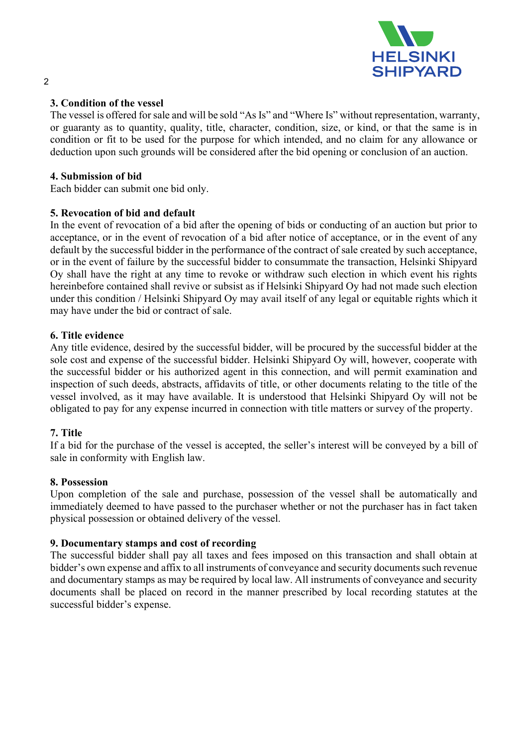

## 3. Condition of the vessel

The vessel is offered for sale and will be sold "As Is" and "Where Is" without representation, warranty, or guaranty as to quantity, quality, title, character, condition, size, or kind, or that the same is in condition or fit to be used for the purpose for which intended, and no claim for any allowance or deduction upon such grounds will be considered after the bid opening or conclusion of an auction.

## 4. Submission of bid

Each bidder can submit one bid only.

## 5. Revocation of bid and default

In the event of revocation of a bid after the opening of bids or conducting of an auction but prior to acceptance, or in the event of revocation of a bid after notice of acceptance, or in the event of any default by the successful bidder in the performance of the contract of sale created by such acceptance, or in the event of failure by the successful bidder to consummate the transaction, Helsinki Shipyard Oy shall have the right at any time to revoke or withdraw such election in which event his rights hereinbefore contained shall revive or subsist as if Helsinki Shipyard Oy had not made such election under this condition / Helsinki Shipyard Oy may avail itself of any legal or equitable rights which it may have under the bid or contract of sale.

## 6. Title evidence

Any title evidence, desired by the successful bidder, will be procured by the successful bidder at the sole cost and expense of the successful bidder. Helsinki Shipyard Oy will, however, cooperate with the successful bidder or his authorized agent in this connection, and will permit examination and inspection of such deeds, abstracts, affidavits of title, or other documents relating to the title of the vessel involved, as it may have available. It is understood that Helsinki Shipyard Oy will not be obligated to pay for any expense incurred in connection with title matters or survey of the property.

# 7. Title

If a bid for the purchase of the vessel is accepted, the seller's interest will be conveyed by a bill of sale in conformity with English law.

## 8. Possession

Upon completion of the sale and purchase, possession of the vessel shall be automatically and immediately deemed to have passed to the purchaser whether or not the purchaser has in fact taken physical possession or obtained delivery of the vessel.

## 9. Documentary stamps and cost of recording

The successful bidder shall pay all taxes and fees imposed on this transaction and shall obtain at bidder's own expense and affix to all instruments of conveyance and security documents such revenue and documentary stamps as may be required by local law. All instruments of conveyance and security documents shall be placed on record in the manner prescribed by local recording statutes at the successful bidder's expense.

### 2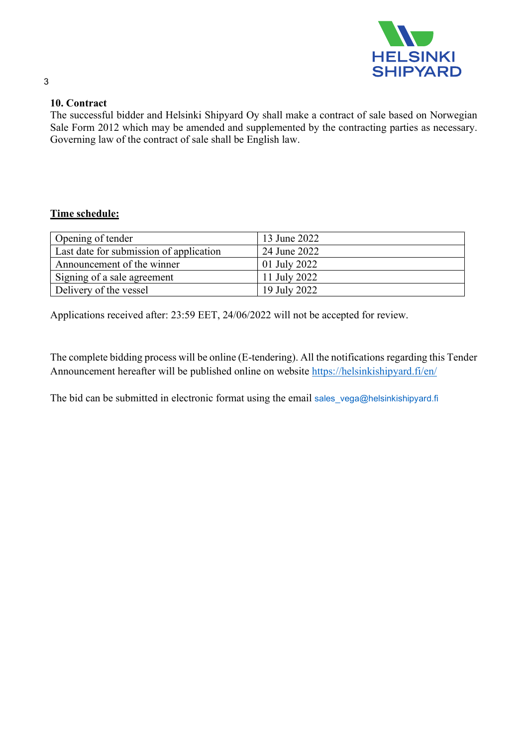

# 10. Contract

The successful bidder and Helsinki Shipyard Oy shall make a contract of sale based on Norwegian Sale Form 2012 which may be amended and supplemented by the contracting parties as necessary. Governing law of the contract of sale shall be English law.

# Time schedule:

| Opening of tender                       | 13 June 2022               |
|-----------------------------------------|----------------------------|
| Last date for submission of application | 24 June 2022               |
| Announcement of the winner              | $\frac{1}{2}$ 01 July 2022 |
| Signing of a sale agreement             | 11 July 2022               |
| Delivery of the vessel                  | 19 July 2022               |

Applications received after: 23:59 EET, 24/06/2022 will not be accepted for review.

The complete bidding process will be online (E-tendering). All the notifications regarding this Tender Announcement hereafter will be published online on website https://helsinkishipyard.fi/en/

The bid can be submitted in electronic format using the email sales vega@helsinkishipyard.fi

### 3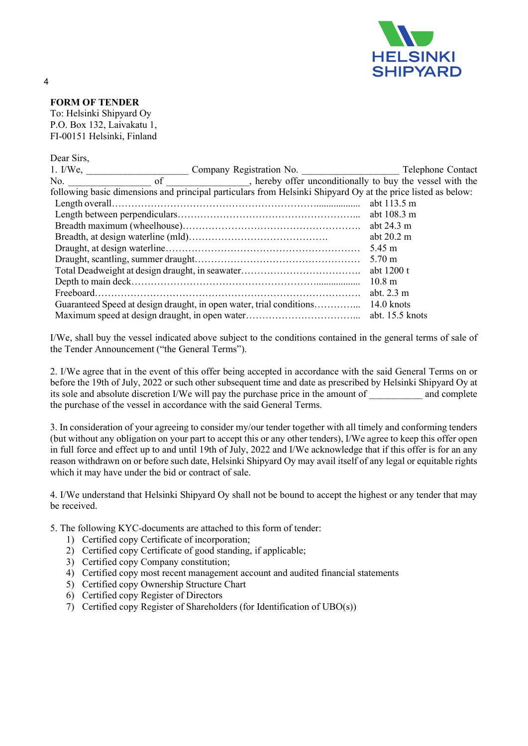

### FORM OF TENDER

To: Helsinki Shipyard Oy P.O. Box 132, Laivakatu 1, FI-00151 Helsinki, Finland

| Dear Sirs,                                                                                                   |  |                                                                                                                                                                                                                                |                      |  |
|--------------------------------------------------------------------------------------------------------------|--|--------------------------------------------------------------------------------------------------------------------------------------------------------------------------------------------------------------------------------|----------------------|--|
| $1. I/We$ , $\qquad \qquad \qquad$                                                                           |  |                                                                                                                                                                                                                                |                      |  |
|                                                                                                              |  | No. So of the result of the result of the result of the results of the results of the results and the results of the results of the results and results and results of the results of the results of the results of the result |                      |  |
| following basic dimensions and principal particulars from Helsinki Shipyard Oy at the price listed as below: |  |                                                                                                                                                                                                                                |                      |  |
|                                                                                                              |  |                                                                                                                                                                                                                                | abt 113.5 m          |  |
|                                                                                                              |  |                                                                                                                                                                                                                                | abt 108.3 m          |  |
|                                                                                                              |  |                                                                                                                                                                                                                                |                      |  |
|                                                                                                              |  |                                                                                                                                                                                                                                | abt $20.2 \text{ m}$ |  |
|                                                                                                              |  |                                                                                                                                                                                                                                | 5.45 m               |  |
|                                                                                                              |  |                                                                                                                                                                                                                                | $5.70 \text{ m}$     |  |
|                                                                                                              |  |                                                                                                                                                                                                                                | abt 1200 t           |  |
|                                                                                                              |  |                                                                                                                                                                                                                                | $10.8 \text{ m}$     |  |
|                                                                                                              |  |                                                                                                                                                                                                                                | abt. $2.3 \text{ m}$ |  |
|                                                                                                              |  |                                                                                                                                                                                                                                |                      |  |
|                                                                                                              |  |                                                                                                                                                                                                                                |                      |  |

I/We, shall buy the vessel indicated above subject to the conditions contained in the general terms of sale of the Tender Announcement ("the General Terms").

2. I/We agree that in the event of this offer being accepted in accordance with the said General Terms on or before the 19th of July, 2022 or such other subsequent time and date as prescribed by Helsinki Shipyard Oy at its sole and absolute discretion I/We will pay the purchase price in the amount of and complete the purchase of the vessel in accordance with the said General Terms.

3. In consideration of your agreeing to consider my/our tender together with all timely and conforming tenders (but without any obligation on your part to accept this or any other tenders), I/We agree to keep this offer open in full force and effect up to and until 19th of July, 2022 and I/We acknowledge that if this offer is for an any reason withdrawn on or before such date, Helsinki Shipyard Oy may avail itself of any legal or equitable rights which it may have under the bid or contract of sale.

4. I/We understand that Helsinki Shipyard Oy shall not be bound to accept the highest or any tender that may be received.

5. The following KYC-documents are attached to this form of tender:

- 1) Certified copy Certificate of incorporation;
- 2) Certified copy Certificate of good standing, if applicable;
- 3) Certified copy Company constitution;
- 4) Certified copy most recent management account and audited financial statements
- 5) Certified copy Ownership Structure Chart
- 6) Certified copy Register of Directors
- 7) Certified copy Register of Shareholders (for Identification of UBO(s))

4